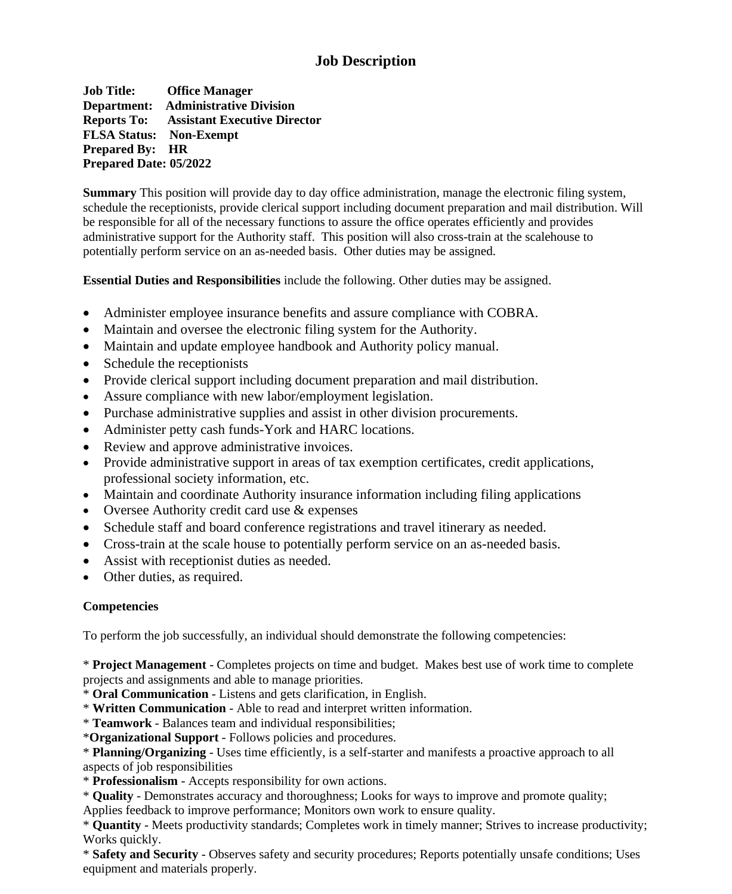# **Job Description**

**Job Title: Office Manager Department: Administrative Division Reports To: Assistant Executive Director FLSA Status: Non-Exempt Prepared By: HR Prepared Date: 05/2022** 

**Summary** This position will provide day to day office administration, manage the electronic filing system, schedule the receptionists, provide clerical support including document preparation and mail distribution. Will be responsible for all of the necessary functions to assure the office operates efficiently and provides administrative support for the Authority staff. This position will also cross-train at the scalehouse to potentially perform service on an as-needed basis. Other duties may be assigned.

**Essential Duties and Responsibilities** include the following. Other duties may be assigned.

- Administer employee insurance benefits and assure compliance with COBRA.
- Maintain and oversee the electronic filing system for the Authority.
- Maintain and update employee handbook and Authority policy manual.
- Schedule the receptionists
- Provide clerical support including document preparation and mail distribution.
- Assure compliance with new labor/employment legislation.
- Purchase administrative supplies and assist in other division procurements.
- Administer petty cash funds-York and HARC locations.
- Review and approve administrative invoices.
- Provide administrative support in areas of tax exemption certificates, credit applications, professional society information, etc.
- Maintain and coordinate Authority insurance information including filing applications
- Oversee Authority credit card use & expenses
- Schedule staff and board conference registrations and travel itinerary as needed.
- Cross-train at the scale house to potentially perform service on an as-needed basis.
- Assist with receptionist duties as needed.
- Other duties, as required.

## **Competencies**

To perform the job successfully, an individual should demonstrate the following competencies:

\* **Project Management** - Completes projects on time and budget. Makes best use of work time to complete projects and assignments and able to manage priorities.

\* **Oral Communication** - Listens and gets clarification, in English.

\* **Written Communication** - Able to read and interpret written information.

\* **Teamwork** - Balances team and individual responsibilities;

\***Organizational Support** - Follows policies and procedures.

\* **Planning/Organizing** - Uses time efficiently, is a self-starter and manifests a proactive approach to all aspects of job responsibilities

\* **Professionalism** - Accepts responsibility for own actions.

\* **Quality** - Demonstrates accuracy and thoroughness; Looks for ways to improve and promote quality; Applies feedback to improve performance; Monitors own work to ensure quality.

\* **Quantity** - Meets productivity standards; Completes work in timely manner; Strives to increase productivity; Works quickly.

\* **Safety and Security** - Observes safety and security procedures; Reports potentially unsafe conditions; Uses equipment and materials properly.